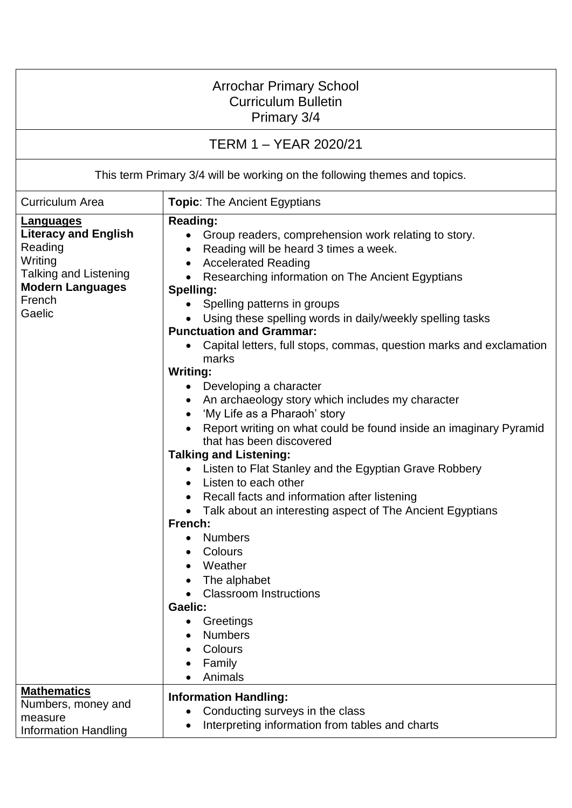| <b>Arrochar Primary School</b><br><b>Curriculum Bulletin</b><br>Primary 3/4<br><b>TERM 1 – YEAR 2020/21</b>                                          |                                                                                                                                                                                                                                                                                                                                                                                                                                                                                                                                                                                                                                                                                                                                                                                                                                                                                                                                                                                                                                                                                                                  |  |
|------------------------------------------------------------------------------------------------------------------------------------------------------|------------------------------------------------------------------------------------------------------------------------------------------------------------------------------------------------------------------------------------------------------------------------------------------------------------------------------------------------------------------------------------------------------------------------------------------------------------------------------------------------------------------------------------------------------------------------------------------------------------------------------------------------------------------------------------------------------------------------------------------------------------------------------------------------------------------------------------------------------------------------------------------------------------------------------------------------------------------------------------------------------------------------------------------------------------------------------------------------------------------|--|
|                                                                                                                                                      |                                                                                                                                                                                                                                                                                                                                                                                                                                                                                                                                                                                                                                                                                                                                                                                                                                                                                                                                                                                                                                                                                                                  |  |
| <b>Curriculum Area</b>                                                                                                                               | <b>Topic:</b> The Ancient Egyptians                                                                                                                                                                                                                                                                                                                                                                                                                                                                                                                                                                                                                                                                                                                                                                                                                                                                                                                                                                                                                                                                              |  |
| <b>Languages</b><br><b>Literacy and English</b><br>Reading<br>Writing<br><b>Talking and Listening</b><br><b>Modern Languages</b><br>French<br>Gaelic | <b>Reading:</b><br>Group readers, comprehension work relating to story.<br>Reading will be heard 3 times a week.<br>$\bullet$<br><b>Accelerated Reading</b><br>Researching information on The Ancient Egyptians<br>Spelling:<br>• Spelling patterns in groups<br>Using these spelling words in daily/weekly spelling tasks<br><b>Punctuation and Grammar:</b><br>Capital letters, full stops, commas, question marks and exclamation<br>marks<br><b>Writing:</b><br>Developing a character<br>An archaeology story which includes my character<br>'My Life as a Pharaoh' story<br>Report writing on what could be found inside an imaginary Pyramid<br>that has been discovered<br><b>Talking and Listening:</b><br>Listen to Flat Stanley and the Egyptian Grave Robbery<br>Listen to each other<br>Recall facts and information after listening<br>Talk about an interesting aspect of The Ancient Egyptians<br>French:<br><b>Numbers</b><br>$\bullet$<br>Colours<br>Weather<br>The alphabet<br><b>Classroom Instructions</b><br><b>Gaelic:</b><br>Greetings<br><b>Numbers</b><br>Colours<br>Family<br>Animals |  |
| <b>Mathematics</b><br>Numbers, money and<br>measure<br><b>Information Handling</b>                                                                   | <b>Information Handling:</b><br>Conducting surveys in the class<br>Interpreting information from tables and charts                                                                                                                                                                                                                                                                                                                                                                                                                                                                                                                                                                                                                                                                                                                                                                                                                                                                                                                                                                                               |  |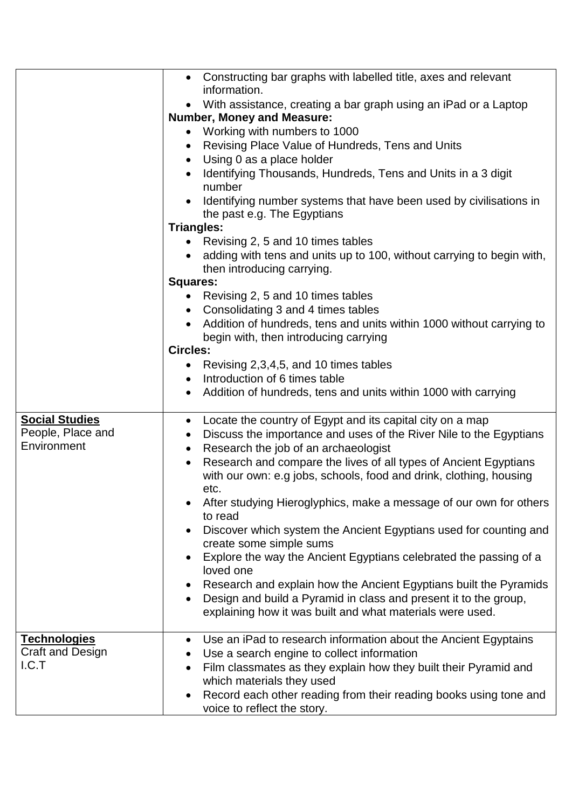|                       | • Constructing bar graphs with labelled title, axes and relevant                |
|-----------------------|---------------------------------------------------------------------------------|
|                       | information.                                                                    |
|                       | • With assistance, creating a bar graph using an iPad or a Laptop               |
|                       | <b>Number, Money and Measure:</b>                                               |
|                       | • Working with numbers to 1000                                                  |
|                       | Revising Place Value of Hundreds, Tens and Units                                |
|                       | • Using 0 as a place holder                                                     |
|                       | Identifying Thousands, Hundreds, Tens and Units in a 3 digit<br>number          |
|                       |                                                                                 |
|                       | Identifying number systems that have been used by civilisations in              |
|                       | the past e.g. The Egyptians                                                     |
|                       | <b>Triangles:</b>                                                               |
|                       | • Revising 2, 5 and 10 times tables                                             |
|                       | adding with tens and units up to 100, without carrying to begin with,           |
|                       | then introducing carrying.                                                      |
|                       | <b>Squares:</b>                                                                 |
|                       | • Revising 2, 5 and 10 times tables                                             |
|                       | • Consolidating 3 and 4 times tables                                            |
|                       | Addition of hundreds, tens and units within 1000 without carrying to            |
|                       | begin with, then introducing carrying                                           |
|                       | <b>Circles:</b>                                                                 |
|                       | • Revising 2,3,4,5, and 10 times tables                                         |
|                       | • Introduction of 6 times table                                                 |
|                       | Addition of hundreds, tens and units within 1000 with carrying                  |
|                       |                                                                                 |
| <b>Social Studies</b> | Locate the country of Egypt and its capital city on a map<br>$\bullet$          |
| People, Place and     | Discuss the importance and uses of the River Nile to the Egyptians<br>$\bullet$ |
| Environment           | Research the job of an archaeologist<br>$\bullet$                               |
|                       | Research and compare the lives of all types of Ancient Egyptians<br>$\bullet$   |
|                       | with our own: e.g jobs, schools, food and drink, clothing, housing              |
|                       | etc.                                                                            |
|                       | After studying Hieroglyphics, make a message of our own for others              |
|                       | to read                                                                         |
|                       | Discover which system the Ancient Egyptians used for counting and               |
|                       | create some simple sums                                                         |
|                       | Explore the way the Ancient Egyptians celebrated the passing of a<br>loved one  |
|                       | Research and explain how the Ancient Egyptians built the Pyramids               |
|                       | Design and build a Pyramid in class and present it to the group,                |
|                       | explaining how it was built and what materials were used.                       |
|                       |                                                                                 |
| <b>Technologies</b>   | Use an iPad to research information about the Ancient Egyptains<br>$\bullet$    |
| Craft and Design      | Use a search engine to collect information                                      |
| I.C.T                 | Film classmates as they explain how they built their Pyramid and                |
|                       | which materials they used                                                       |
|                       | Record each other reading from their reading books using tone and               |
|                       | voice to reflect the story.                                                     |
|                       |                                                                                 |